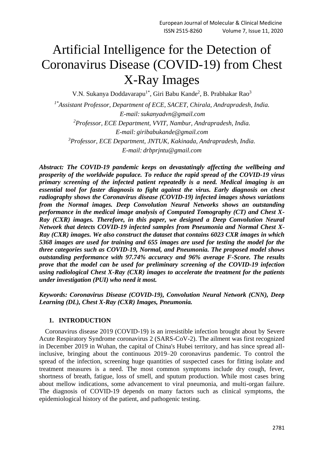# Artificial Intelligence for the Detection of Coronavirus Disease (COVID-19) from Chest X-Ray Images

V.N. Sukanya Doddavarapu<sup>1\*</sup>, Giri Babu Kande<sup>2</sup>, B. Prabhakar Rao<sup>3</sup> *1\*Assistant Professor, Department of ECE, SACET, Chirala, Andrapradesh, India. E-mail:sukanyadvn@gmail.com <sup>2</sup>Professor, ECE Department, VVIT, Nambur, Andrapradesh, India. E-mail: giribabukande@gmail.com*

*<sup>3</sup>Professor, ECE Department, JNTUK, Kakinada, Andrapradesh, India. E-mail: drbprjntu@gmail.com*

*Abstract: The COVID-19 pandemic keeps on devastatingly affecting the wellbeing and prosperity of the worldwide populace. To reduce the rapid spread of the COVID-19 virus primary screening of the infected patient repeatedly is a need. Medical imaging is an essential tool for faster diagnosis to fight against the virus. Early diagnosis on chest radiography shows the Coronavirus disease (COVID-19) infected images shows variations from the Normal images. Deep Convolution Neural Networks shows an outstanding performance in the medical image analysis of Computed Tomography (CT) and Chest X-Ray (CXR) images. Therefore, in this paper, we designed a Deep Convolution Neural Network that detects COVID-19 infected samples from Pneumonia and Normal Chest X-Ray (CXR) images. We also construct the dataset that contains 6023 CXR images in which 5368 images are used for training and 655 images are used for testing the model for the three categories such as COVID-19, Normal, and Pneumonia. The proposed model shows outstanding performance with 97.74% accuracy and 96% average F-Score. The results prove that the model can be used for preliminary screening of the COVID-19 infection using radiological Chest X-Ray (CXR) images to accelerate the treatment for the patients under investigation (PUI) who need it most.*

*Keywords: Coronavirus Disease (COVID-19), Convolution Neural Network (CNN), Deep Learning (DL), Chest X-Ray (CXR) Images, Pneumonia.*

# **1. INTRODUCTION**

Coronavirus disease 2019 (COVID-19) is an irresistible infection brought about by Severe Acute Respiratory Syndrome coronavirus 2 (SARS-CoV-2). The ailment was first recognized in December 2019 in Wuhan, the capital of China's Hubei territory, and has since spread allinclusive, bringing about the continuous 2019–20 coronavirus pandemic. To control the spread of the infection, screening huge quantities of suspected cases for fitting isolate and treatment measures is a need. The most common symptoms include dry cough, fever, shortness of breath, fatigue, loss of smell, and sputum production. While most cases bring about mellow indications, some advancement to viral pneumonia, and multi-organ failure. The diagnosis of COVID-19 depends on many factors such as clinical symptoms, the epidemiological history of the patient, and pathogenic testing.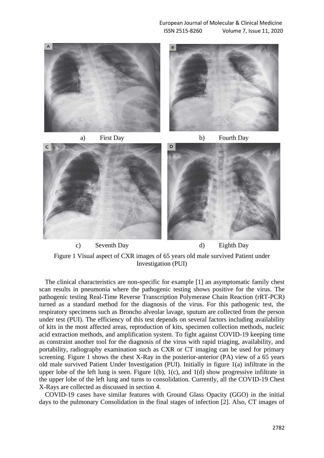European Journal of Molecular & Clinical Medicine ISSN 2515-8260 Volume 7, Issue 11, 2020





The clinical characteristics are non-specific for example [1] an asymptomatic family chest scan results in pneumonia where the pathogenic testing shows positive for the virus. The pathogenic testing Real-Time Reverse Transcription Polymerase Chain Reaction (rRT-PCR) turned as a standard method for the diagnosis of the virus. For this pathogenic test, the respiratory specimens such as Broncho alveolar lavage, sputum are collected from the person under test (PUI). The efficiency of this test depends on several factors including availability of kits in the most affected areas, reproduction of kits, specimen collection methods, nucleic acid extraction methods, and amplification system. To fight against COVID-19 keeping time as constraint another tool for the diagnosis of the virus with rapid triaging, availability, and portability, radiography examination such as CXR or CT imaging can be used for primary screening. Figure 1 shows the chest X-Ray in the posterior-anterior (PA) view of a 65 years old male survived Patient Under Investigation (PUI). Initially in figure 1(a) infiltrate in the upper lobe of the left lung is seen. Figure  $1(b)$ ,  $1(c)$ , and  $1(d)$  show progressive infiltrate in the upper lobe of the left lung and turns to consolidation. Currently, all the COVID-19 Chest X-Rays are collected as discussed in section 4.

COVID-19 cases have similar features with Ground Glass Opacity (GGO) in the initial days to the pulmonary Consolidation in the final stages of infection [2]. Also, CT images of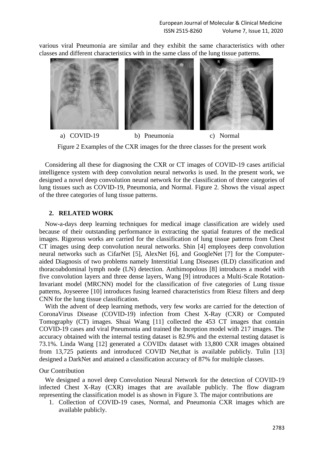various viral Pneumonia are similar and they exhibit the same characteristics with other classes and different characteristics with in the same class of the lung tissue patterns.



Figure 2 Examples of the CXR images for the three classes for the present work

Considering all these for diagnosing the CXR or CT images of COVID-19 cases artificial intelligence system with deep convolution neural networks is used. In the present work, we designed a novel deep convolution neural network for the classification of three categories of lung tissues such as COVID-19, Pneumonia, and Normal. Figure 2. Shows the visual aspect of the three categories of lung tissue patterns.

## **2. RELATED WORK**

Now-a-days deep learning techniques for medical image classification are widely used because of their outstanding performance in extracting the spatial features of the medical images. Rigorous works are carried for the classification of lung tissue patterns from Chest CT images using deep convolution neural networks. Shin [4] employees deep convolution neural networks such as CifarNet [5], AlexNet [6], and GoogleNet [7] for the Computeraided Diagnosis of two problems namely Interstitial Lung Diseases (ILD) classification and thoracoabdominal lymph node (LN) detection. Anthimopolous [8] introduces a model with five convolution layers and three dense layers, Wang [9] introduces a Multi-Scale Rotation-Invariant model (MRCNN) model for the classification of five categories of Lung tissue patterns, Joyseeree [10] introduces fusing learned characteristics from Riesz filters and deep CNN for the lung tissue classification.

With the advent of deep learning methods, very few works are carried for the detection of CoronaVirus Disease (COVID-19) infection from Chest X-Ray (CXR) or Computed Tomography (CT) images. Shuai Wang [11] collected the 453 CT images that contain COVID-19 cases and viral Pneumonia and trained the Inception model with 217 images. The accuracy obtained with the internal testing dataset is 82.9% and the external testing dataset is 73.1%. Linda Wang [12] generated a COVIDx dataset with 13,800 CXR images obtained from 13,725 patients and introduced COVID Net,that is available publicly. Tulin [13] designed a DarkNet and attained a classification accuracy of 87% for multiple classes.

## Our Contribution

We designed a novel deep Convolution Neural Network for the detection of COVID-19 infected Chest X-Ray (CXR) images that are available publicly. The flow diagram representing the classification model is as shown in Figure 3. The major contributions are

1. Collection of COVID-19 cases, Normal, and Pneumonia CXR images which are available publicly.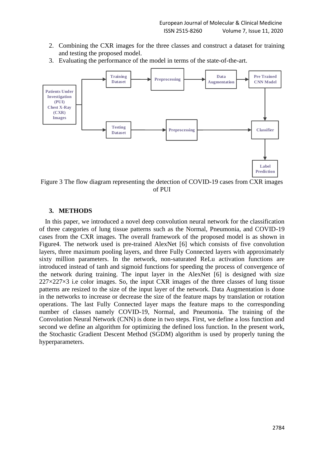- 2. Combining the CXR images for the three classes and construct a dataset for training and testing the proposed model.
- 3. Evaluating the performance of the model in terms of the state-of-the-art.



Figure 3 The flow diagram representing the detection of COVID-19 cases from CXR images of PUI

## **3. METHODS**

In this paper, we introduced a novel deep convolution neural network for the classification of three categories of lung tissue patterns such as the Normal, Pneumonia, and COVID-19 cases from the CXR images. The overall framework of the proposed model is as shown in Figure4. The network used is pre-trained AlexNet [6] which consists of five convolution layers, three maximum pooling layers, and three Fully Connected layers with approximately sixty million parameters. In the network, non-saturated ReLu activation functions are introduced instead of tanh and sigmoid functions for speeding the process of convergence of the network during training. The input layer in the AlexNet [6] is designed with size  $227 \times 227 \times 3$  i.e color images. So, the input CXR images of the three classes of lung tissue patterns are resized to the size of the input layer of the network. Data Augmentation is done in the networks to increase or decrease the size of the feature maps by translation or rotation operations. The last Fully Connected layer maps the feature maps to the corresponding number of classes namely COVID-19, Normal, and Pneumonia. The training of the Convolution Neural Network (CNN) is done in two steps. First, we define a loss function and second we define an algorithm for optimizing the defined loss function. In the present work, the Stochastic Gradient Descent Method (SGDM) algorithm is used by properly tuning the hyperparameters.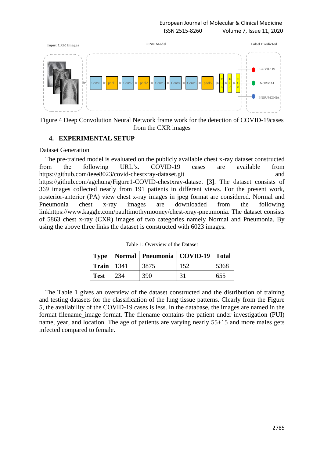

Figure 4 Deep Convolution Neural Network frame work for the detection of COVID-19cases from the CXR images

## **4. EXPERIMENTAL SETUP**

#### Dataset Generation

The pre-trained model is evaluated on the publicly available chest x-ray dataset constructed from the following URL's. COVID-19 cases are available from https://github.com/ieee8023/covid-chestxray-dataset.git and https://github.com/agchung/Figure1-COVID-chestxray-dataset [3]. The dataset consists of 369 images collected nearly from 191 patients in different views. For the present work, posterior-anterior (PA) view chest x-ray images in jpeg format are considered. Normal and Pneumonia chest x-ray images are downloaded from the following linkhttps://www.kaggle.com/paultimothymooney/chest-xray-pneumonia. The dataset consists of 5863 chest x-ray (CXR) images of two categories namely Normal and Pneumonia. By using the above three links the dataset is constructed with 6023 images.

|                       |     | Type   Normal   Pneumonia   COVID-19   Total |     |      |
|-----------------------|-----|----------------------------------------------|-----|------|
| $\text{Train}$   1341 |     | 3875                                         | 152 | 5368 |
| <b>Test</b>           | 234 | 390                                          | -31 | 655  |

Table 1: Overview of the Dataset

The Table 1 gives an overview of the dataset constructed and the distribution of training and testing datasets for the classification of the lung tissue patterns. Clearly from the Figure 5, the availability of the COVID-19 cases is less. In the database, the images are named in the format filename\_image format. The filename contains the patient under investigation (PUI) name, year, and location. The age of patients are varying nearly  $55\pm 15$  and more males gets infected compared to female.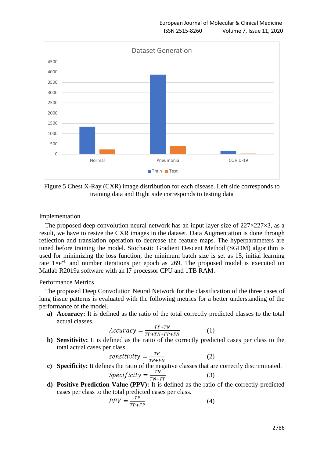

Figure 5 Chest X-Ray (CXR) image distribution for each disease. Left side corresponds to training data and Right side corresponds to testing data

## Implementation

The proposed deep convolution neural network has an input layer size of  $227 \times 227 \times 3$ , as a result, we have to resize the CXR images in the dataset. Data Augmentation is done through reflection and translation operation to decrease the feature maps. The hyperparameters are tuned before training the model. Stochastic Gradient Descent Method (SGDM) algorithm is used for minimizing the loss function, the minimum batch size is set as 15, initial learning rate  $1 \times e^{-4}$ , and number iterations per epoch as 269. The proposed model is executed on Matlab R2019a software with an I7 processor CPU and 1TB RAM.

## Performance Metrics

The proposed Deep Convolution Neural Network for the classification of the three cases of lung tissue patterns is evaluated with the following metrics for a better understanding of the performance of the model.

**a) Accuracy:** It is defined as the ratio of the total correctly predicted classes to the total actual classes.

$$
Accuracy = \frac{TP + TN}{TP + TN + FP + FN}
$$
 (1)

**b) Sensitivity:** It is defined as the ratio of the correctly predicted cases per class to the total actual cases per class.

$$
sensitivity = \frac{TP}{TP+FN}
$$
 (2)

**c) Specificity:** It defines the ratio of the negative classes that are correctly discriminated.

$$
Specificity = \frac{TN}{TN + FP}
$$
 (3)

**d) Positive Prediction Value (PPV):** It is defined as the ratio of the correctly predicted cases per class to the total predicted cases per class.

$$
PPV = \frac{TP}{TP + FP} \tag{4}
$$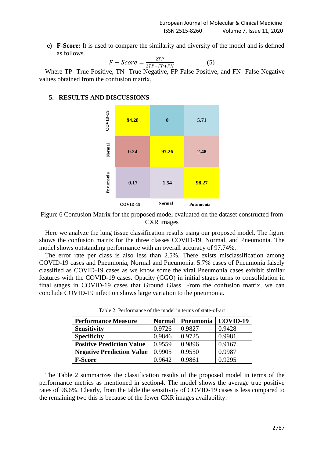**e) F-Score:** It is used to compare the similarity and diversity of the model and is defined as follows.

$$
F - Score = \frac{2TP}{2TP + FP + FN} \tag{5}
$$

Where TP- True Positive, TN- True Negative, FP-False Positive, and FN- False Negative values obtained from the confusion matrix.

# **5. RESULTS AND DISCUSSIONS**



Figure 6 Confusion Matrix for the proposed model evaluated on the dataset constructed from CXR images

Here we analyze the lung tissue classification results using our proposed model. The figure shows the confusion matrix for the three classes COVID-19, Normal, and Pneumonia. The model shows outstanding performance with an overall accuracy of 97.74%.

The error rate per class is also less than 2.5%. There exists misclassification among COVID-19 cases and Pneumonia, Normal and Pneumonia. 5.7% cases of Pneumonia falsely classified as COVID-19 cases as we know some the viral Pneumonia cases exhibit similar features with the COVID-19 cases. Opacity (GGO) in initial stages turns to consolidation in final stages in COVID-19 cases that Ground Glass. From the confusion matrix, we can conclude COVID-19 infection shows large variation to the pneumonia.

| <b>Performance Measure</b>       | <b>Normal</b> | Pneumonia | COVID-19 |
|----------------------------------|---------------|-----------|----------|
| <b>Sensitivity</b>               | 0.9726        | 0.9827    | 0.9428   |
| <b>Specificity</b>               | 0.9846        | 0.9725    | 0.9981   |
| <b>Positive Prediction Value</b> | 0.9559        | 0.9896    | 0.9167   |
| <b>Negative Prediction Value</b> | 0.9905        | 0.9550    | 0.9987   |
| <b>F-Score</b>                   | 0.9642        | 0.9861    | 0.9295   |

Table 2: Performance of the model in terms of state-of-art

The Table 2 summarizes the classification results of the proposed model in terms of the performance metrics as mentioned in section4. The model shows the average true positive rates of 96.6%. Clearly, from the table the sensitivity of COVID-19 cases is less compared to the remaining two this is because of the fewer CXR images availability.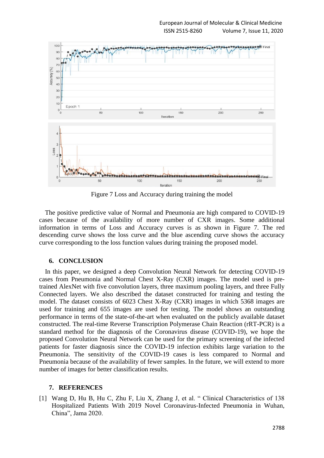

Figure 7 Loss and Accuracy during training the model

The positive predictive value of Normal and Pneumonia are high compared to COVID-19 cases because of the availability of more number of CXR images. Some additional information in terms of Loss and Accuracy curves is as shown in Figure 7. The red descending curve shows the loss curve and the blue ascending curve shows the accuracy curve corresponding to the loss function values during training the proposed model.

## **6. CONCLUSION**

In this paper, we designed a deep Convolution Neural Network for detecting COVID-19 cases from Pneumonia and Normal Chest X-Ray (CXR) images. The model used is pretrained AlexNet with five convolution layers, three maximum pooling layers, and three Fully Connected layers. We also described the dataset constructed for training and testing the model. The dataset consists of 6023 Chest X-Ray (CXR) images in which 5368 images are used for training and 655 images are used for testing. The model shows an outstanding performance in terms of the state-of-the-art when evaluated on the publicly available dataset constructed. The real-time Reverse Transcription Polymerase Chain Reaction (rRT-PCR) is a standard method for the diagnosis of the Coronavirus disease (COVID-19), we hope the proposed Convolution Neural Network can be used for the primary screening of the infected patients for faster diagnosis since the COVID-19 infection exhibits large variation to the Pneumonia. The sensitivity of the COVID-19 cases is less compared to Normal and Pneumonia because of the availability of fewer samples. In the future, we will extend to more number of images for better classification results.

## **7. REFERENCES**

[1] Wang D, Hu B, Hu C, Zhu F, Liu X, Zhang J, et al. " Clinical Characteristics of 138 Hospitalized Patients With 2019 Novel Coronavirus-Infected Pneumonia in Wuhan, China", Jama 2020.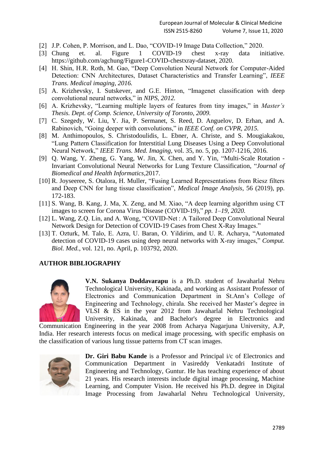- [2] J.P. Cohen, P. Morrison, and L. Dao, "COVID-19 Image Data Collection," 2020.
- [3] Chung et. al. Figure 1 COVID-19 chest x-ray data initiative. https://github.com/agchung/Figure1-COVID-chestxray-dataset, 2020.
- [4] H. Shin, H.R. Roth, M. Gao, "Deep Convolution Neural Network for Computer-Aided Detection: CNN Architectures, Dataset Characteristics and Transfer Learning", *IEEE Trans. Medical imaging, 2016.*
- [5] A. Krizhevsky, I. Sutskever, and G.E. Hinton, "Imagenet classification with deep convolutional neural networks," in *NIPS, 2012.*
- [6] A. Krizhevsky, "Learning multiple layers of features from tiny images," in *Master's Thesis. Dept. of Comp. Science, University of Toronto, 2009.*
- [7] C. Szegedy, W. Liu, Y. Jia, P. Sermanet, S. Reed, D. Anguelov, D. Erhan, and A. Rabinovich, "Going deeper with convolutions," in *IEEE Conf. on CVPR, 2015.*
- [8] M. Anthimopoulos, S. Christodoulidis, L. Ebner, A. Christe, and S. Mougiakakou, "Lung Pattern Classification for Interstitial Lung Diseases Using a Deep Convolutional Neural Network," *IEEE Trans. Med. Imaging*, vol. 35, no. 5, pp. 1207-1216, 2016.
- [9] Q. Wang, Y. Zheng, G. Yang, W. Jin, X. Chen, and Y. Yin, "Multi-Scale Rotation Invariant Convolutional Neural Networks for Lung Texture Classification, "*Journal of Biomedical and Health Informatics,*2017.
- [10] R. Joyseeree, S. Otalora, H. Muller, "Fusing Learned Representations from Riesz filters and Deep CNN for lung tissue classification", *Medical Image Analysis,* 56 (2019), pp. 172-183.
- [11] S. Wang, B. Kang, J. Ma, X. Zeng, and M. Xiao, "A deep learning algorithm using CT images to screen for Corona Virus Disease (COVID-19)," *pp. 1–19, 2020.*
- [12] L. Wang, Z.Q. Lin, and A. Wong, "COVID-Net : A Tailored Deep Convolutional Neural Network Design for Detection of COVID-19 Cases from Chest X-Ray Images."
- [13] T. Ozturk, M. Talo, E. Azra, U. Baran, O. Yildirim, and U. R. Acharya, "Automated detection of COVID-19 cases using deep neural networks with X-ray images," *Comput. Biol. Med.*, vol. 121, no. April, p. 103792, 2020.

# **AUTHOR BIBLIOGRAPHY**



**V.N. Sukanya Doddavarapu** is a Ph.D. student of Jawaharlal Nehru Technological University, Kakinada, and working as Assistant Professor of Electronics and Communication Department in St.Ann's College of Engineering and Technology, chirala. She received her Master's degree in VLSI & ES in the year 2012 from Jawaharlal Nehru Technological University, Kakinada, and Bachelor's degree in Electronics and

Communication Engineering in the year 2008 from Acharya Nagarjuna University, A.P, India. Her research interests focus on medical image processing, with specific emphasis on the classification of various lung tissue patterns from CT scan images.



**Dr. Giri Babu Kande** is a Professor and Principal i/c of Electronics and Communication Department in Vasireddy Venkatadri Institute of Engineering and Technology, Guntur. He has teaching experience of about 21 years. His research interests include digital image processing, Machine Learning, and Computer Vision. He received his Ph.D. degree in Digital Image Processing from Jawaharlal Nehru Technological University,